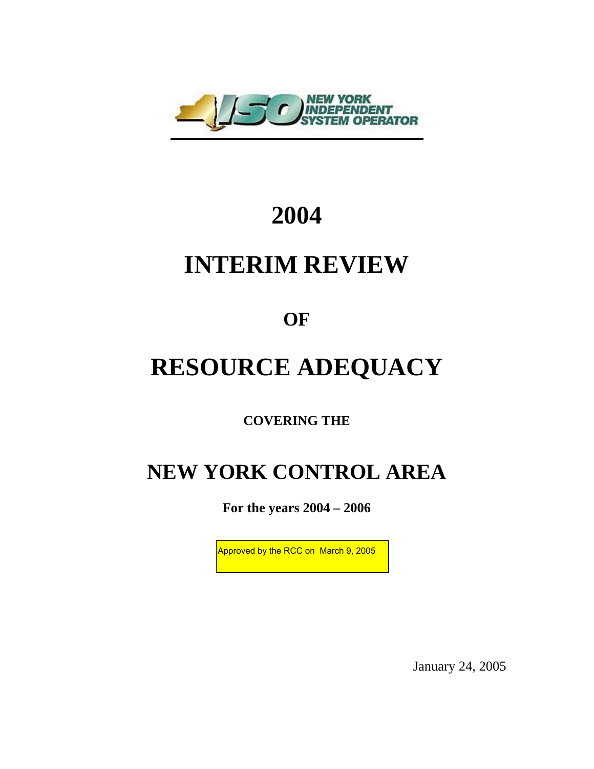

## **2004**

## **INTERIM REVIEW**

**OF** 

# **RESOURCE ADEQUACY**

**COVERING THE** 

### **NEW YORK CONTROL AREA**

**For the years 2004 – 2006** 

Approved by the RCC on March 9, 2005

January 24, 2005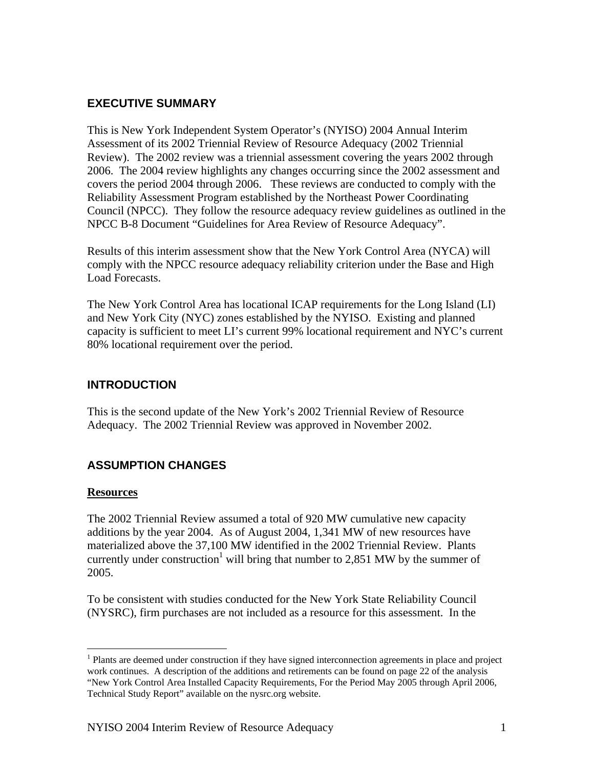#### **EXECUTIVE SUMMARY**

This is New York Independent System Operator's (NYISO) 2004 Annual Interim Assessment of its 2002 Triennial Review of Resource Adequacy (2002 Triennial Review). The 2002 review was a triennial assessment covering the years 2002 through 2006. The 2004 review highlights any changes occurring since the 2002 assessment and covers the period 2004 through 2006. These reviews are conducted to comply with the Reliability Assessment Program established by the Northeast Power Coordinating Council (NPCC). They follow the resource adequacy review guidelines as outlined in the NPCC B-8 Document "Guidelines for Area Review of Resource Adequacy".

Results of this interim assessment show that the New York Control Area (NYCA) will comply with the NPCC resource adequacy reliability criterion under the Base and High Load Forecasts.

The New York Control Area has locational ICAP requirements for the Long Island (LI) and New York City (NYC) zones established by the NYISO. Existing and planned capacity is sufficient to meet LI's current 99% locational requirement and NYC's current 80% locational requirement over the period.

#### **INTRODUCTION**

This is the second update of the New York's 2002 Triennial Review of Resource Adequacy. The 2002 Triennial Review was approved in November 2002.

#### **ASSUMPTION CHANGES**

#### **Resources**

<u>.</u>

The 2002 Triennial Review assumed a total of 920 MW cumulative new capacity additions by the year 2004. As of August 2004, 1,341 MW of new resources have materialized above the 37,100 MW identified in the 2002 Triennial Review. Plants currently under construction<sup>1</sup> will bring that number to 2,851 MW by the summer of 2005.

To be consistent with studies conducted for the New York State Reliability Council (NYSRC), firm purchases are not included as a resource for this assessment. In the

<sup>&</sup>lt;sup>1</sup> Plants are deemed under construction if they have signed interconnection agreements in place and project work continues. A description of the additions and retirements can be found on page 22 of the analysis "New York Control Area Installed Capacity Requirements, For the Period May 2005 through April 2006, Technical Study Report" available on the nysrc.org website.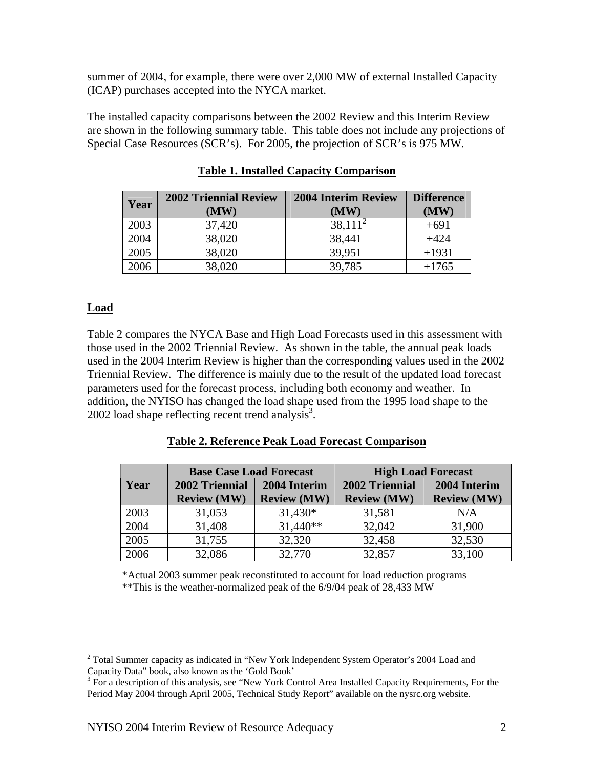summer of 2004, for example, there were over 2,000 MW of external Installed Capacity (ICAP) purchases accepted into the NYCA market.

The installed capacity comparisons between the 2002 Review and this Interim Review are shown in the following summary table. This table does not include any projections of Special Case Resources (SCR's). For 2005, the projection of SCR's is 975 MW.

| Year | <b>2002 Triennial Review</b> | <b>2004 Interim Review</b> | <b>Difference</b> |
|------|------------------------------|----------------------------|-------------------|
|      | (MW)                         | (MW)                       | (MW)              |
| 2003 | 37,420                       | $38,111^{2}$               | $+691$            |
| 2004 | 38,020                       | 38,441                     | $+424$            |
| 2005 | 38,020                       | 39,951                     | $+1931$           |
| 2006 | 38,020                       | 39,785                     | $+1765$           |

#### **Table 1. Installed Capacity Comparison**

#### **Load**

Table 2 compares the NYCA Base and High Load Forecasts used in this assessment with those used in the 2002 Triennial Review. As shown in the table, the annual peak loads used in the 2004 Interim Review is higher than the corresponding values used in the 2002 Triennial Review. The difference is mainly due to the result of the updated load forecast parameters used for the forecast process, including both economy and weather. In addition, the NYISO has changed the load shape used from the 1995 load shape to the 2002 load shape reflecting recent trend analysis<sup>3</sup>.

| Table 2. Reference Peak Load Forecast Comparison |  |  |  |  |  |  |
|--------------------------------------------------|--|--|--|--|--|--|
|--------------------------------------------------|--|--|--|--|--|--|

|      | <b>Base Case Load Forecast</b> |                    | <b>High Load Forecast</b> |                    |  |
|------|--------------------------------|--------------------|---------------------------|--------------------|--|
| Year | 2002 Triennial                 | 2004 Interim       | 2002 Triennial            | 2004 Interim       |  |
|      | <b>Review (MW)</b>             | <b>Review (MW)</b> | <b>Review (MW)</b>        | <b>Review (MW)</b> |  |
| 2003 | 31,053                         | $31,430*$          | 31,581                    | N/A                |  |
| 2004 | 31,408                         | $31,440**$         | 32,042                    | 31,900             |  |
| 2005 | 31,755                         | 32,320             | 32,458                    | 32,530             |  |
| 2006 | 32,086                         | 32,770             | 32,857                    | 33,100             |  |

\*Actual 2003 summer peak reconstituted to account for load reduction programs \*\*This is the weather-normalized peak of the 6/9/04 peak of 28,433 MW

<sup>&</sup>lt;sup>2</sup> Total Summer capacity as indicated in "New York Independent System Operator's 2004 Load and Capacity Data" book, also known as the 'Gold Book'

 $3$  For a description of this analysis, see "New York Control Area Installed Capacity Requirements, For the Period May 2004 through April 2005, Technical Study Report" available on the nysrc.org website.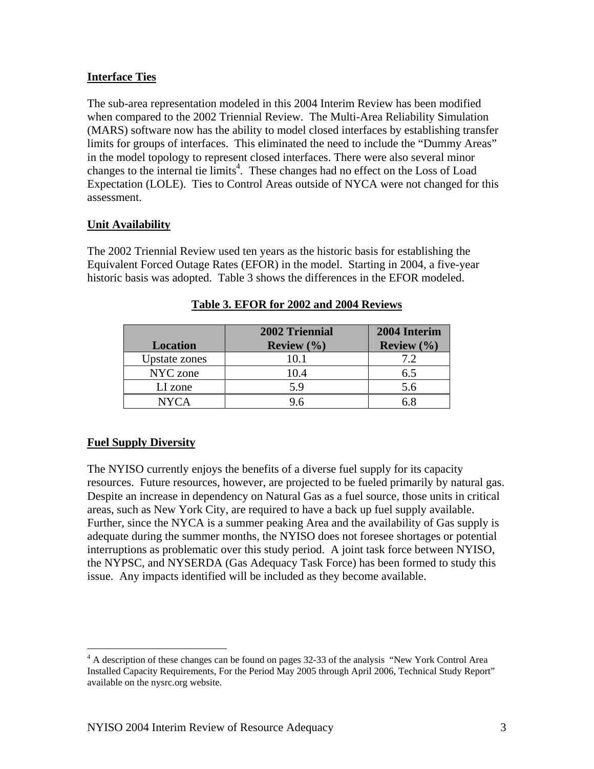#### **Interface Ties**

The sub-area representation modeled in this 2004 Interim Review has been modified when compared to the 2002 Triennial Review. The Multi-Area Reliability Simulation (MARS) software now has the ability to model closed interfaces by establishing transfer limits for groups of interfaces. This eliminated the need to include the "Dummy Areas" in the model topology to represent closed interfaces. There were also several minor changes to the internal tie limits<sup>4</sup>. These changes had no effect on the Loss of Load Expectation (LOLE). Ties to Control Areas outside of NYCA were not changed for this assessment.

#### **Unit Availability**

The 2002 Triennial Review used ten years as the historic basis for establishing the Equivalent Forced Outage Rates (EFOR) in the model. Starting in 2004, a five-year historic basis was adopted. Table 3 shows the differences in the EFOR modeled.

| <b>Location</b> | 2002 Triennial<br><b>Review</b> $(\%)$ | 2004 Interim<br><b>Review</b> $(\%)$ |
|-----------------|----------------------------------------|--------------------------------------|
| Upstate zones   | 10.1                                   | 7.2                                  |
| NYC zone        | 10.4                                   | 6.5                                  |
| LI zone         | 5.9                                    | 5.6                                  |
| <b>NYCA</b>     | 9.6                                    |                                      |

**Table 3. EFOR for 2002 and 2004 Reviews**

#### **Fuel Supply Diversity**

 $\overline{a}$ 

The NYISO currently enjoys the benefits of a diverse fuel supply for its capacity resources. Future resources, however, are projected to be fueled primarily by natural gas. Despite an increase in dependency on Natural Gas as a fuel source, those units in critical areas, such as New York City, are required to have a back up fuel supply available. Further, since the NYCA is a summer peaking Area and the availability of Gas supply is adequate during the summer months, the NYISO does not foresee shortages or potential interruptions as problematic over this study period. A joint task force between NYISO, the NYPSC, and NYSERDA (Gas Adequacy Task Force) has been formed to study this issue. Any impacts identified will be included as they become available.

<sup>&</sup>lt;sup>4</sup> A description of these changes can be found on pages 32-33 of the analysis "New York Control Area Installed Capacity Requirements, For the Period May 2005 through April 2006, Technical Study Report" available on the nysrc.org website.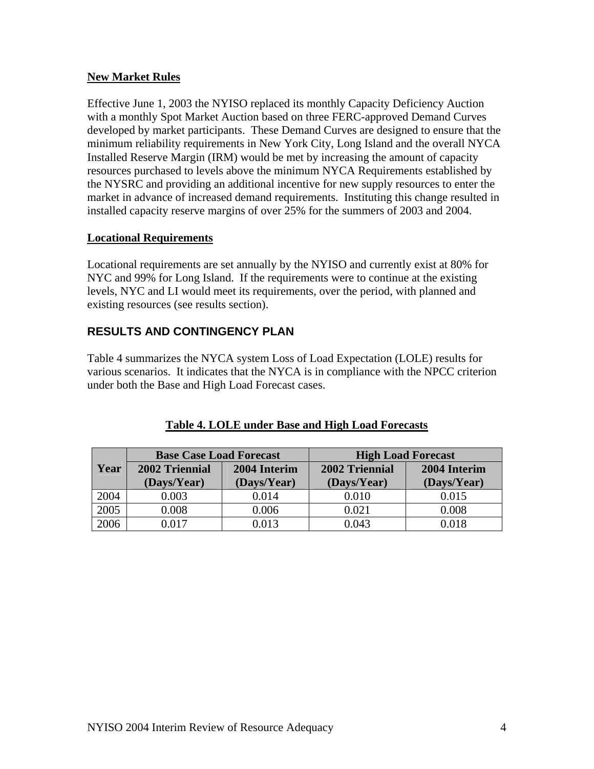#### **New Market Rules**

Effective June 1, 2003 the NYISO replaced its monthly Capacity Deficiency Auction with a monthly Spot Market Auction based on three FERC-approved Demand Curves developed by market participants. These Demand Curves are designed to ensure that the minimum reliability requirements in New York City, Long Island and the overall NYCA Installed Reserve Margin (IRM) would be met by increasing the amount of capacity resources purchased to levels above the minimum NYCA Requirements established by the NYSRC and providing an additional incentive for new supply resources to enter the market in advance of increased demand requirements. Instituting this change resulted in installed capacity reserve margins of over 25% for the summers of 2003 and 2004.

#### **Locational Requirements**

Locational requirements are set annually by the NYISO and currently exist at 80% for NYC and 99% for Long Island. If the requirements were to continue at the existing levels, NYC and LI would meet its requirements, over the period, with planned and existing resources (see results section).

#### **RESULTS AND CONTINGENCY PLAN**

Table 4 summarizes the NYCA system Loss of Load Expectation (LOLE) results for various scenarios. It indicates that the NYCA is in compliance with the NPCC criterion under both the Base and High Load Forecast cases.

|      | <b>Base Case Load Forecast</b> |              | <b>High Load Forecast</b> |              |  |
|------|--------------------------------|--------------|---------------------------|--------------|--|
| Year | 2002 Triennial                 | 2004 Interim | 2002 Triennial            | 2004 Interim |  |
|      | (Days/Year)                    | (Days/Year)  | (Days/Year)               | (Days/Year)  |  |
| 2004 | 0.003                          | 0.014        | 0.010                     | 0.015        |  |
| 2005 | 0.008                          | 0.006        | 0.021                     | 0.008        |  |
| 2006 | 0 017                          | 0.013        | 0.043                     | 0.018        |  |

#### **Table 4. LOLE under Base and High Load Forecasts**